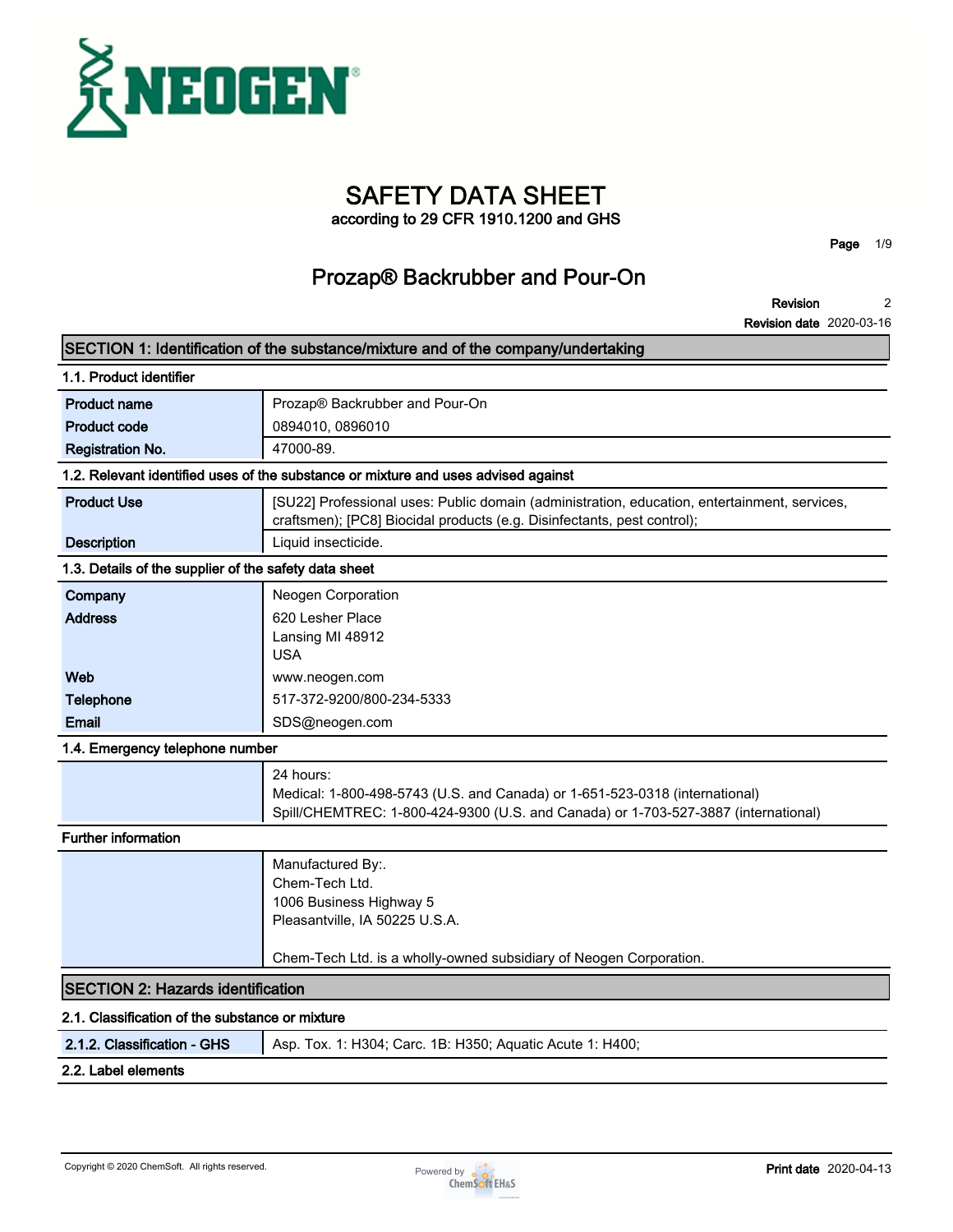

# **SAFETY DATA SHEET**

**according to 29 CFR 1910.1200 and GHS**

**Page 1/9**

## **Prozap® Backrubber and Pour-On**

**Revision 2**

**Revision date 2020-03-16**

|                                                       | SECTION 1: Identification of the substance/mixture and of the company/undertaking                                                                                              |
|-------------------------------------------------------|--------------------------------------------------------------------------------------------------------------------------------------------------------------------------------|
| 1.1. Product identifier                               |                                                                                                                                                                                |
| <b>Product name</b>                                   | Prozap® Backrubber and Pour-On                                                                                                                                                 |
| <b>Product code</b>                                   | 0894010, 0896010                                                                                                                                                               |
| <b>Registration No.</b>                               | 47000-89.                                                                                                                                                                      |
|                                                       | 1.2. Relevant identified uses of the substance or mixture and uses advised against                                                                                             |
| <b>Product Use</b>                                    | [SU22] Professional uses: Public domain (administration, education, entertainment, services,<br>craftsmen); [PC8] Biocidal products (e.g. Disinfectants, pest control);        |
| <b>Description</b>                                    | Liquid insecticide.                                                                                                                                                            |
| 1.3. Details of the supplier of the safety data sheet |                                                                                                                                                                                |
| Company                                               | Neogen Corporation                                                                                                                                                             |
| <b>Address</b>                                        | 620 Lesher Place                                                                                                                                                               |
|                                                       | Lansing MI 48912                                                                                                                                                               |
|                                                       | <b>USA</b>                                                                                                                                                                     |
| Web                                                   | www.neogen.com                                                                                                                                                                 |
| Telephone                                             | 517-372-9200/800-234-5333                                                                                                                                                      |
| Email                                                 | SDS@neogen.com                                                                                                                                                                 |
| 1.4. Emergency telephone number                       |                                                                                                                                                                                |
|                                                       | 24 hours:<br>Medical: 1-800-498-5743 (U.S. and Canada) or 1-651-523-0318 (international)<br>Spill/CHEMTREC: 1-800-424-9300 (U.S. and Canada) or 1-703-527-3887 (international) |
| <b>Further information</b>                            |                                                                                                                                                                                |
|                                                       | Manufactured By:.<br>Chem-Tech Ltd.<br>1006 Business Highway 5<br>Pleasantville, IA 50225 U.S.A.                                                                               |
|                                                       | Chem-Tech Ltd. is a wholly-owned subsidiary of Neogen Corporation.                                                                                                             |
| <b>SECTION 2: Hazards identification</b>              |                                                                                                                                                                                |
| 2.1. Classification of the substance or mixture       |                                                                                                                                                                                |
| 2.1.2. Classification - GHS                           | Asp. Tox. 1: H304; Carc. 1B: H350; Aquatic Acute 1: H400;                                                                                                                      |

**2.2. Label elements**

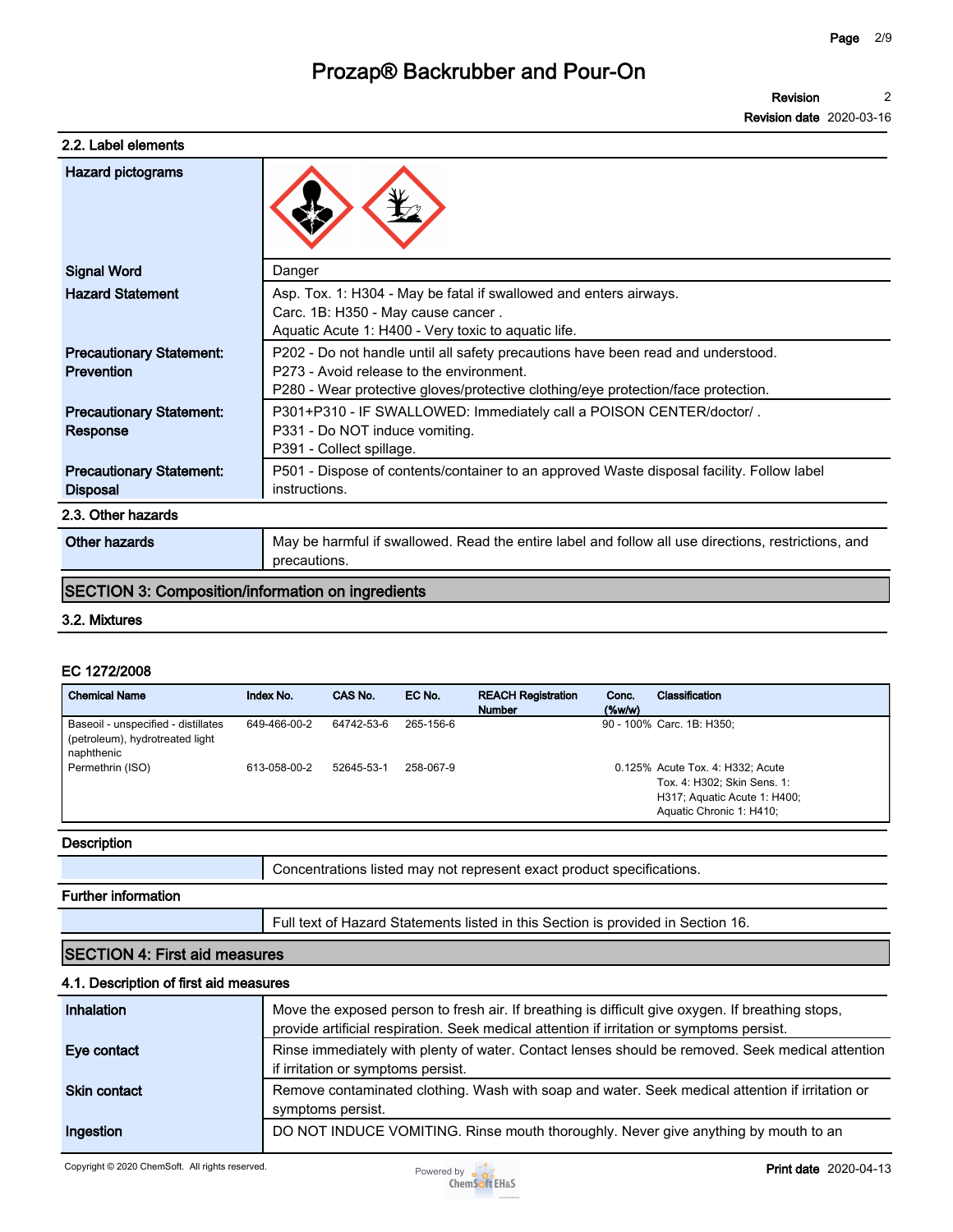**Revision 2**

**Revision date 2020-03-16**

### **2.2. Label elements**

| <b>Hazard pictograms</b>                           |                                                                                                                                                                                                                   |
|----------------------------------------------------|-------------------------------------------------------------------------------------------------------------------------------------------------------------------------------------------------------------------|
| <b>Signal Word</b>                                 | Danger                                                                                                                                                                                                            |
| <b>Hazard Statement</b>                            | Asp. Tox. 1: H304 - May be fatal if swallowed and enters airways.<br>Carc. 1B: H350 - May cause cancer.<br>Aquatic Acute 1: H400 - Very toxic to aquatic life.                                                    |
| <b>Precautionary Statement:</b><br>Prevention      | P202 - Do not handle until all safety precautions have been read and understood.<br>P273 - Avoid release to the environment.<br>P280 - Wear protective gloves/protective clothing/eye protection/face protection. |
| <b>Precautionary Statement:</b><br>Response        | P301+P310 - IF SWALLOWED: Immediately call a POISON CENTER/doctor/.<br>P331 - Do NOT induce vomiting.<br>P391 - Collect spillage.                                                                                 |
| <b>Precautionary Statement:</b><br><b>Disposal</b> | P501 - Dispose of contents/container to an approved Waste disposal facility. Follow label<br>instructions.                                                                                                        |
| 2.3. Other hazards                                 |                                                                                                                                                                                                                   |
| Other hazards                                      | May be harmful if swallowed. Read the entire label and follow all use directions, restrictions, and<br>precautions.                                                                                               |

## **SECTION 3: Composition/information on ingredients**

### **3.2. Mixtures**

#### **EC 1272/2008**

| <b>Chemical Name</b>                                                                 | Index No.    | CAS No.    | EC No.    | <b>REACH Registration</b><br><b>Number</b> | Conc.<br>$(\%w/w)$ | Classification                                                                                                              |
|--------------------------------------------------------------------------------------|--------------|------------|-----------|--------------------------------------------|--------------------|-----------------------------------------------------------------------------------------------------------------------------|
| Baseoil - unspecified - distillates<br>(petroleum), hydrotreated light<br>naphthenic | 649-466-00-2 | 64742-53-6 | 265-156-6 |                                            |                    | 90 - 100% Carc. 1B: H350;                                                                                                   |
| Permethrin (ISO)                                                                     | 613-058-00-2 | 52645-53-1 | 258-067-9 |                                            |                    | 0.125% Acute Tox. 4: H332; Acute<br>Tox. 4: H302; Skin Sens. 1:<br>H317; Aquatic Acute 1: H400;<br>Aquatic Chronic 1: H410; |
| <b>Desember</b>                                                                      |              |            |           |                                            |                    |                                                                                                                             |

#### **Description**

| Concentrations listed may not represent exact product specifications. |  |
|-----------------------------------------------------------------------|--|
|-----------------------------------------------------------------------|--|

#### **Further information**

**Full text of Hazard Statements listed in this Section is provided in Section 16.**

### **SECTION 4: First aid measures**

### **4.1. Description of first aid measures**

| Inhalation   | Move the exposed person to fresh air. If breathing is difficult give oxygen. If breathing stops,<br>provide artificial respiration. Seek medical attention if irritation or symptoms persist. |
|--------------|-----------------------------------------------------------------------------------------------------------------------------------------------------------------------------------------------|
| Eye contact  | Rinse immediately with plenty of water. Contact lenses should be removed. Seek medical attention<br>if irritation or symptoms persist.                                                        |
| Skin contact | Remove contaminated clothing. Wash with soap and water. Seek medical attention if irritation or<br>symptoms persist.                                                                          |
| Ingestion    | DO NOT INDUCE VOMITING. Rinse mouth thoroughly. Never give anything by mouth to an                                                                                                            |

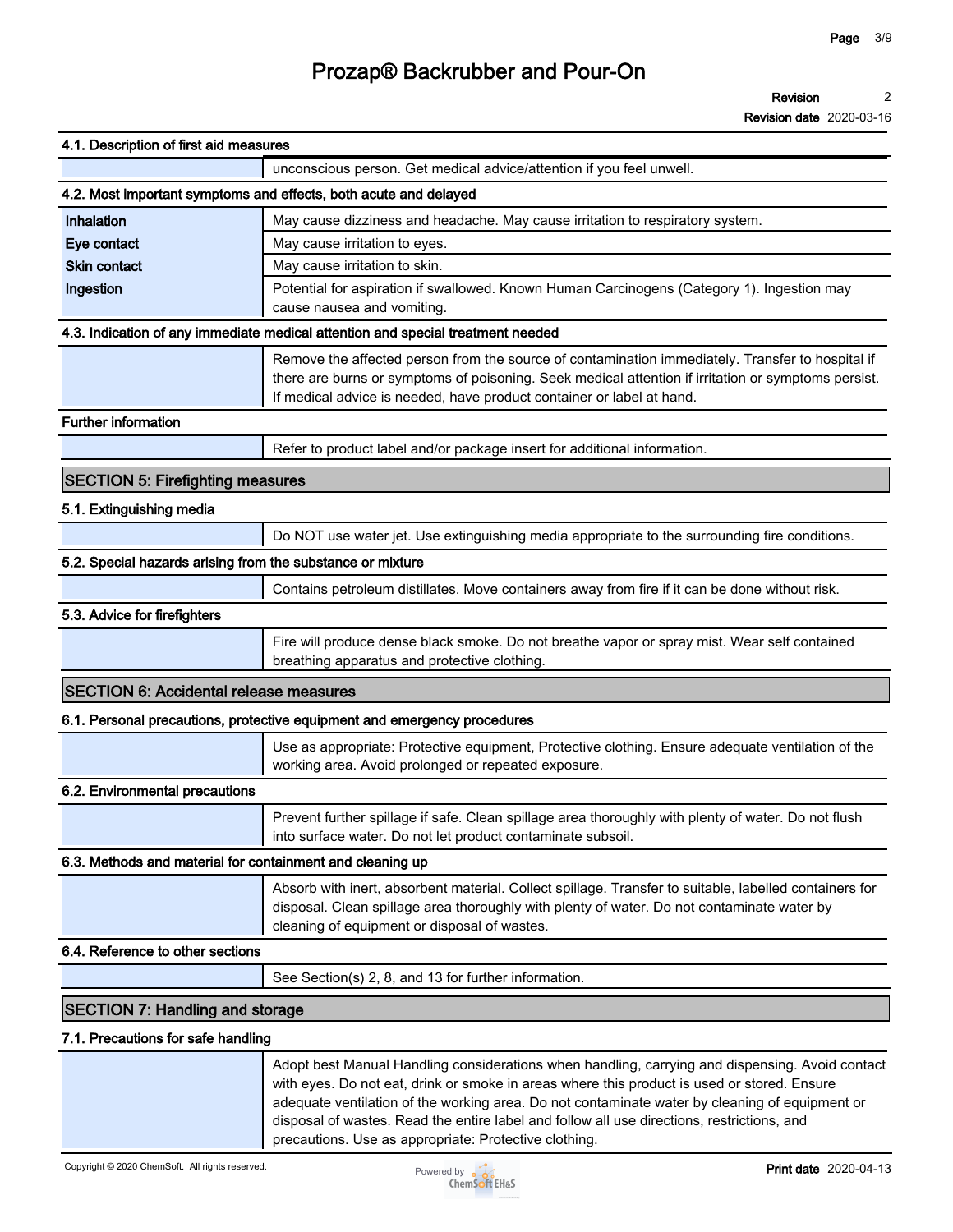**Revision 2**

**Revision date 2020-03-16**

| 4.1. Description of first aid measures                     |                                                                                                                                                                                                                                                                                                                                                                                                |
|------------------------------------------------------------|------------------------------------------------------------------------------------------------------------------------------------------------------------------------------------------------------------------------------------------------------------------------------------------------------------------------------------------------------------------------------------------------|
|                                                            | unconscious person. Get medical advice/attention if you feel unwell.                                                                                                                                                                                                                                                                                                                           |
|                                                            | 4.2. Most important symptoms and effects, both acute and delayed                                                                                                                                                                                                                                                                                                                               |
| Inhalation                                                 | May cause dizziness and headache. May cause irritation to respiratory system.                                                                                                                                                                                                                                                                                                                  |
| Eye contact                                                | May cause irritation to eyes.                                                                                                                                                                                                                                                                                                                                                                  |
| <b>Skin contact</b>                                        | May cause irritation to skin.                                                                                                                                                                                                                                                                                                                                                                  |
| Ingestion                                                  | Potential for aspiration if swallowed. Known Human Carcinogens (Category 1). Ingestion may<br>cause nausea and vomiting.                                                                                                                                                                                                                                                                       |
|                                                            | 4.3. Indication of any immediate medical attention and special treatment needed                                                                                                                                                                                                                                                                                                                |
|                                                            | Remove the affected person from the source of contamination immediately. Transfer to hospital if<br>there are burns or symptoms of poisoning. Seek medical attention if irritation or symptoms persist.<br>If medical advice is needed, have product container or label at hand.                                                                                                               |
| <b>Further information</b>                                 |                                                                                                                                                                                                                                                                                                                                                                                                |
|                                                            | Refer to product label and/or package insert for additional information.                                                                                                                                                                                                                                                                                                                       |
| <b>SECTION 5: Firefighting measures</b>                    |                                                                                                                                                                                                                                                                                                                                                                                                |
| 5.1. Extinguishing media                                   |                                                                                                                                                                                                                                                                                                                                                                                                |
|                                                            | Do NOT use water jet. Use extinguishing media appropriate to the surrounding fire conditions.                                                                                                                                                                                                                                                                                                  |
| 5.2. Special hazards arising from the substance or mixture |                                                                                                                                                                                                                                                                                                                                                                                                |
|                                                            | Contains petroleum distillates. Move containers away from fire if it can be done without risk.                                                                                                                                                                                                                                                                                                 |
| 5.3. Advice for firefighters                               |                                                                                                                                                                                                                                                                                                                                                                                                |
|                                                            | Fire will produce dense black smoke. Do not breathe vapor or spray mist. Wear self contained<br>breathing apparatus and protective clothing.                                                                                                                                                                                                                                                   |
| <b>SECTION 6: Accidental release measures</b>              |                                                                                                                                                                                                                                                                                                                                                                                                |
|                                                            | 6.1. Personal precautions, protective equipment and emergency procedures                                                                                                                                                                                                                                                                                                                       |
|                                                            | Use as appropriate: Protective equipment, Protective clothing. Ensure adequate ventilation of the<br>working area. Avoid prolonged or repeated exposure.                                                                                                                                                                                                                                       |
| 6.2. Environmental precautions                             |                                                                                                                                                                                                                                                                                                                                                                                                |
|                                                            | Prevent further spillage if safe. Clean spillage area thoroughly with plenty of water. Do not flush<br>into surface water. Do not let product contaminate subsoil.                                                                                                                                                                                                                             |
| 6.3. Methods and material for containment and cleaning up  |                                                                                                                                                                                                                                                                                                                                                                                                |
|                                                            | Absorb with inert, absorbent material. Collect spillage. Transfer to suitable, labelled containers for<br>disposal. Clean spillage area thoroughly with plenty of water. Do not contaminate water by<br>cleaning of equipment or disposal of wastes.                                                                                                                                           |
| 6.4. Reference to other sections                           |                                                                                                                                                                                                                                                                                                                                                                                                |
|                                                            | See Section(s) 2, 8, and 13 for further information.                                                                                                                                                                                                                                                                                                                                           |
| <b>SECTION 7: Handling and storage</b>                     |                                                                                                                                                                                                                                                                                                                                                                                                |
| 7.1. Precautions for safe handling                         |                                                                                                                                                                                                                                                                                                                                                                                                |
|                                                            | Adopt best Manual Handling considerations when handling, carrying and dispensing. Avoid contact<br>with eyes. Do not eat, drink or smoke in areas where this product is used or stored. Ensure<br>adequate ventilation of the working area. Do not contaminate water by cleaning of equipment or<br>disposal of wastes. Read the entire label and follow all use directions, restrictions, and |



**precautions. Use as appropriate: Protective clothing.**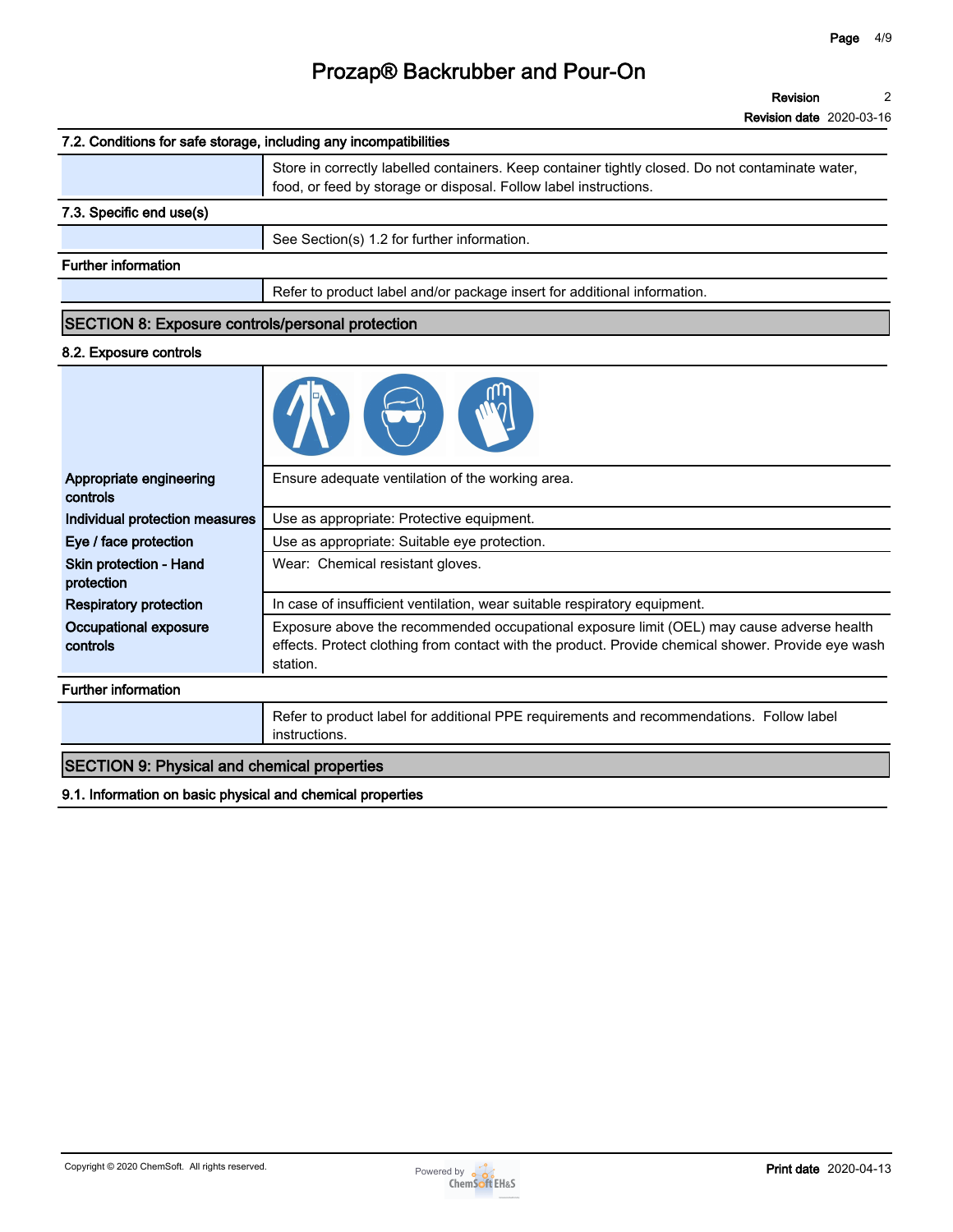**Revision 2**

**Revision date 2020-03-16**

### **7.2. Conditions for safe storage, including any incompatibilities**

|                                                         | Store in correctly labelled containers. Keep container tightly closed. Do not contaminate water,<br>food, or feed by storage or disposal. Follow label instructions. |
|---------------------------------------------------------|----------------------------------------------------------------------------------------------------------------------------------------------------------------------|
| 7.3. Specific end use(s)                                |                                                                                                                                                                      |
|                                                         | See Section(s) 1.2 for further information.                                                                                                                          |
| <b>Further information</b>                              |                                                                                                                                                                      |
|                                                         | Refer to product label and/or package insert for additional information.                                                                                             |
| <b>SECTION 8: Exposure controls/personal protection</b> |                                                                                                                                                                      |

### **8.2. Exposure controls**

| Appropriate engineering<br>controls         | Ensure adequate ventilation of the working area.                                                                                                                                                            |
|---------------------------------------------|-------------------------------------------------------------------------------------------------------------------------------------------------------------------------------------------------------------|
| Individual protection measures              | Use as appropriate: Protective equipment.                                                                                                                                                                   |
| Eye / face protection                       | Use as appropriate: Suitable eye protection.                                                                                                                                                                |
| <b>Skin protection - Hand</b><br>protection | Wear: Chemical resistant gloves.                                                                                                                                                                            |
| <b>Respiratory protection</b>               | In case of insufficient ventilation, wear suitable respiratory equipment.                                                                                                                                   |
| Occupational exposure<br>controls           | Exposure above the recommended occupational exposure limit (OEL) may cause adverse health<br>effects. Protect clothing from contact with the product. Provide chemical shower. Provide eye wash<br>station. |
| <b>Further information</b>                  |                                                                                                                                                                                                             |
|                                             | Refer to product label for additional PPE requirements and recommendations. Follow label<br>instructions.                                                                                                   |

## **SECTION 9: Physical and chemical properties**

**9.1. Information on basic physical and chemical properties**

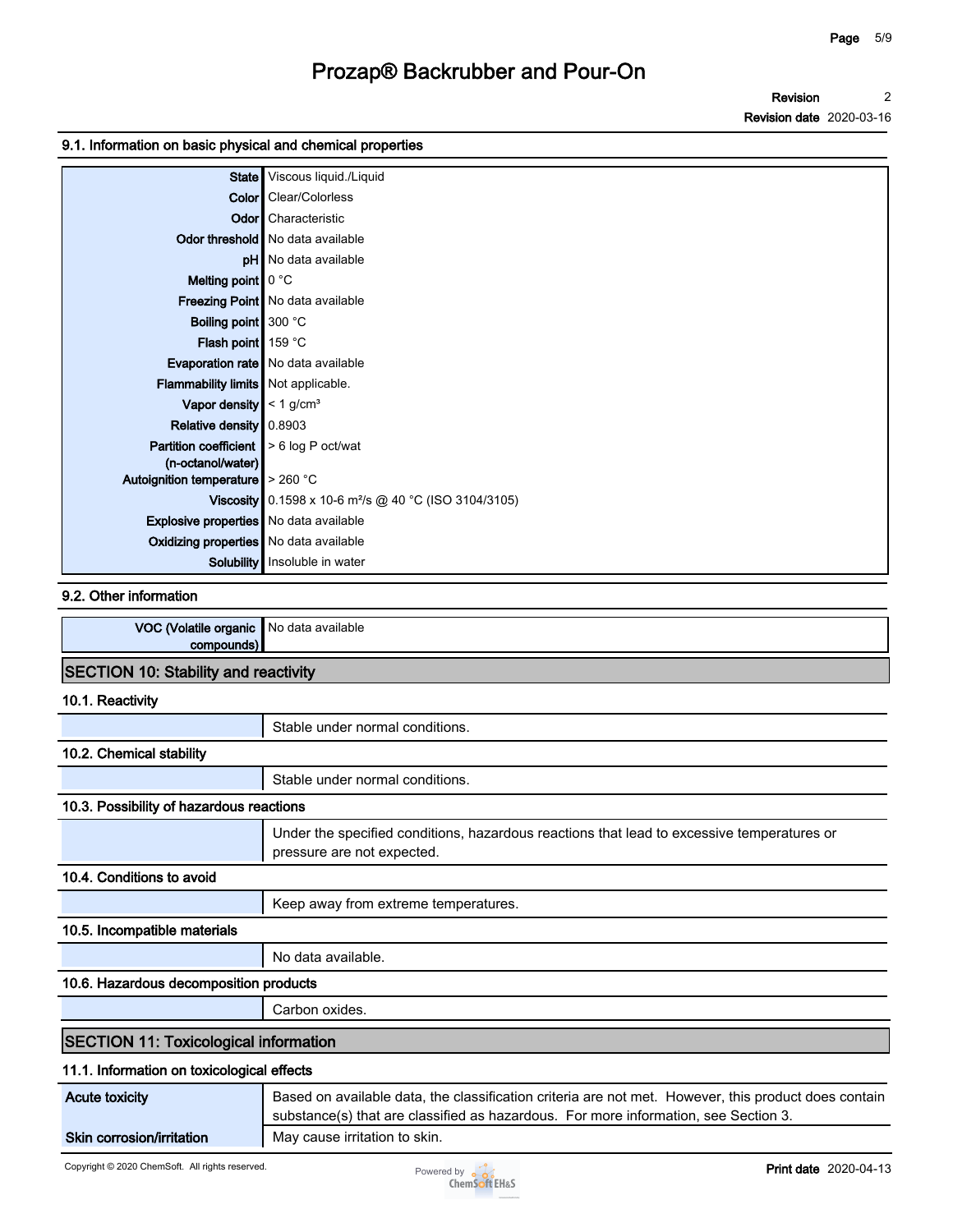### **9.1. Information on basic physical and chemical properties**

|                                               | State Viscous liquid./Liquid                                             |
|-----------------------------------------------|--------------------------------------------------------------------------|
|                                               | <b>Color</b> Clear/Colorless                                             |
|                                               | <b>Odor</b> Characteristic                                               |
|                                               | Odor threshold   No data available                                       |
|                                               | <b>pH</b> No data available                                              |
| Melting point $\vert \vert$ 0 °C              |                                                                          |
|                                               | Freezing Point   No data available                                       |
| <b>Boiling point</b> 300 °C                   |                                                                          |
| Flash point 159 °C                            |                                                                          |
|                                               | Evaporation rate   No data available                                     |
| Flammability limits   Not applicable.         |                                                                          |
| Vapor density $\leq 1$ g/cm <sup>3</sup>      |                                                                          |
| Relative density 0.8903                       |                                                                          |
| <b>Partition coefficient</b>                  | > 6 log P oct/wat                                                        |
| (n-octanol/water)                             |                                                                          |
| Autoignition temperature   > 260 °C           |                                                                          |
|                                               | <b>Viscosity</b> 0.1598 x 10-6 m <sup>2</sup> /s @ 40 °C (ISO 3104/3105) |
| Explosive properties No data available        |                                                                          |
| <b>Oxidizing properties</b> No data available |                                                                          |
|                                               | <b>Solubility</b> Insoluble in water                                     |

### **9.2. Other information**

| (Volatile organic<br><b>VOL</b> | ≔ ∎No data available |
|---------------------------------|----------------------|
| oor                             |                      |
|                                 |                      |

### **SECTION 10: Stability and reactivity**

#### **10.1. Reactivity**

|                                              | Stable under normal conditions.                                                                                                                                                             |
|----------------------------------------------|---------------------------------------------------------------------------------------------------------------------------------------------------------------------------------------------|
| 10.2. Chemical stability                     |                                                                                                                                                                                             |
|                                              | Stable under normal conditions.                                                                                                                                                             |
| 10.3. Possibility of hazardous reactions     |                                                                                                                                                                                             |
|                                              | Under the specified conditions, hazardous reactions that lead to excessive temperatures or<br>pressure are not expected.                                                                    |
| 10.4. Conditions to avoid                    |                                                                                                                                                                                             |
|                                              | Keep away from extreme temperatures.                                                                                                                                                        |
| 10.5. Incompatible materials                 |                                                                                                                                                                                             |
|                                              | No data available.                                                                                                                                                                          |
| 10.6. Hazardous decomposition products       |                                                                                                                                                                                             |
|                                              | Carbon oxides.                                                                                                                                                                              |
| <b>SECTION 11: Toxicological information</b> |                                                                                                                                                                                             |
| 11.1. Information on toxicological effects   |                                                                                                                                                                                             |
| <b>Acute toxicity</b>                        | Based on available data, the classification criteria are not met. However, this product does contain<br>substance(s) that are classified as hazardous. For more information, see Section 3. |

**Skin corrosion/irritation** | May cause irritation to skin.

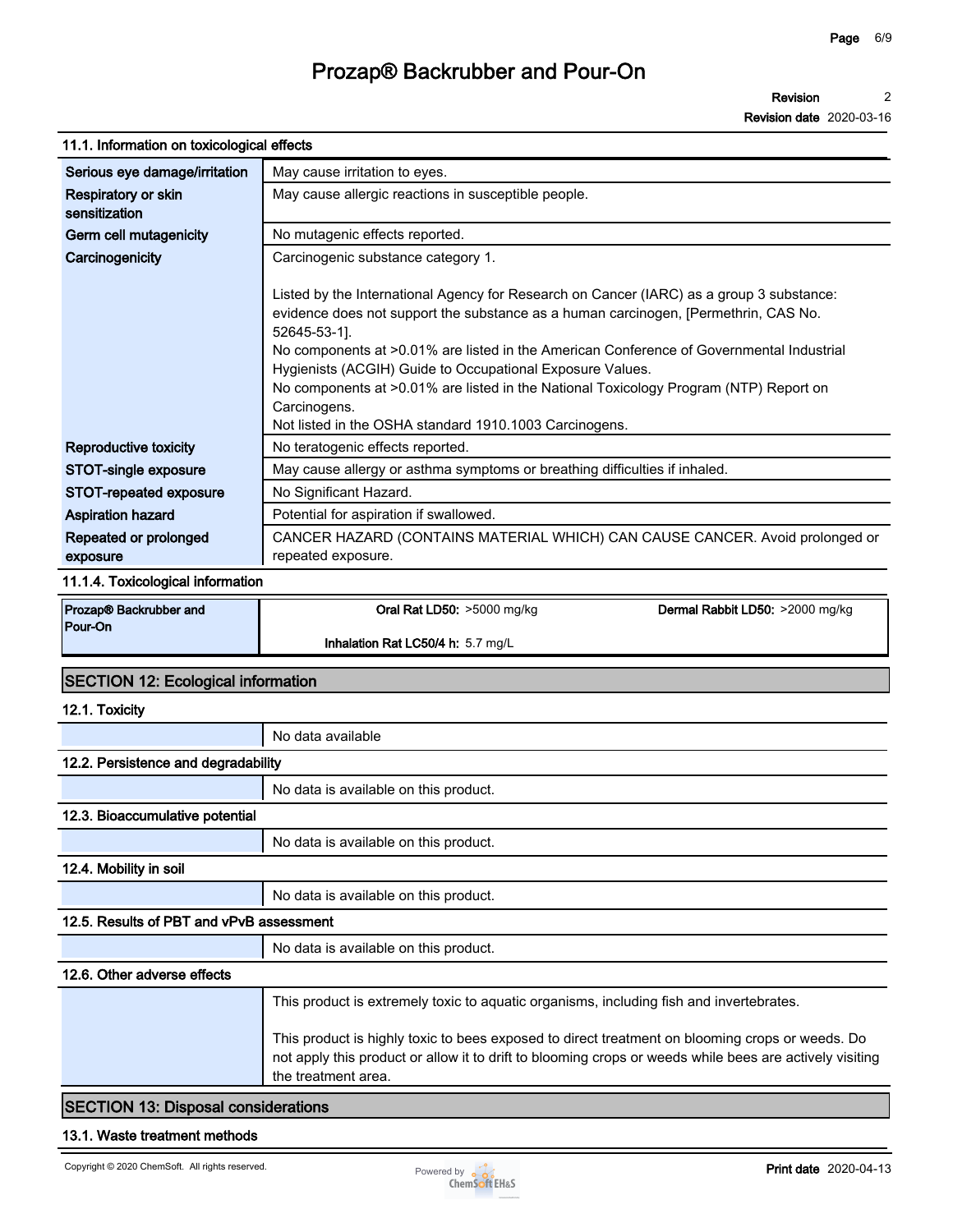**Revision 2**

**Revision date 2020-03-16**

| 11.1. Information on toxicological effects |                                                                                                                                                                                                                                                                                                                                                                                                                                                                                                                             |                                 |  |  |
|--------------------------------------------|-----------------------------------------------------------------------------------------------------------------------------------------------------------------------------------------------------------------------------------------------------------------------------------------------------------------------------------------------------------------------------------------------------------------------------------------------------------------------------------------------------------------------------|---------------------------------|--|--|
| Serious eye damage/irritation              | May cause irritation to eyes.                                                                                                                                                                                                                                                                                                                                                                                                                                                                                               |                                 |  |  |
| Respiratory or skin<br>sensitization       | May cause allergic reactions in susceptible people.                                                                                                                                                                                                                                                                                                                                                                                                                                                                         |                                 |  |  |
| Germ cell mutagenicity                     | No mutagenic effects reported.                                                                                                                                                                                                                                                                                                                                                                                                                                                                                              |                                 |  |  |
| Carcinogenicity                            | Carcinogenic substance category 1.                                                                                                                                                                                                                                                                                                                                                                                                                                                                                          |                                 |  |  |
|                                            | Listed by the International Agency for Research on Cancer (IARC) as a group 3 substance:<br>evidence does not support the substance as a human carcinogen, [Permethrin, CAS No.<br>52645-53-1].<br>No components at >0.01% are listed in the American Conference of Governmental Industrial<br>Hygienists (ACGIH) Guide to Occupational Exposure Values.<br>No components at >0.01% are listed in the National Toxicology Program (NTP) Report on<br>Carcinogens.<br>Not listed in the OSHA standard 1910.1003 Carcinogens. |                                 |  |  |
| <b>Reproductive toxicity</b>               | No teratogenic effects reported.                                                                                                                                                                                                                                                                                                                                                                                                                                                                                            |                                 |  |  |
| STOT-single exposure                       | May cause allergy or asthma symptoms or breathing difficulties if inhaled.                                                                                                                                                                                                                                                                                                                                                                                                                                                  |                                 |  |  |
| STOT-repeated exposure                     | No Significant Hazard.                                                                                                                                                                                                                                                                                                                                                                                                                                                                                                      |                                 |  |  |
| <b>Aspiration hazard</b>                   | Potential for aspiration if swallowed.                                                                                                                                                                                                                                                                                                                                                                                                                                                                                      |                                 |  |  |
| Repeated or prolonged<br>exposure          | CANCER HAZARD (CONTAINS MATERIAL WHICH) CAN CAUSE CANCER. Avoid prolonged or<br>repeated exposure.                                                                                                                                                                                                                                                                                                                                                                                                                          |                                 |  |  |
| 11.1.4. Toxicological information          |                                                                                                                                                                                                                                                                                                                                                                                                                                                                                                                             |                                 |  |  |
| Prozap® Backrubber and                     | Oral Rat LD50: >5000 mg/kg                                                                                                                                                                                                                                                                                                                                                                                                                                                                                                  | Dermal Rabbit LD50: >2000 mg/kg |  |  |
| Pour-On                                    | Inhalation Rat LC50/4 h: 5.7 mg/L                                                                                                                                                                                                                                                                                                                                                                                                                                                                                           |                                 |  |  |
| <b>SECTION 12: Ecological information</b>  |                                                                                                                                                                                                                                                                                                                                                                                                                                                                                                                             |                                 |  |  |
| 12.1. Toxicity                             |                                                                                                                                                                                                                                                                                                                                                                                                                                                                                                                             |                                 |  |  |
|                                            | No data available                                                                                                                                                                                                                                                                                                                                                                                                                                                                                                           |                                 |  |  |
| 12.2. Persistence and degradability        |                                                                                                                                                                                                                                                                                                                                                                                                                                                                                                                             |                                 |  |  |
|                                            | No data is available on this product.                                                                                                                                                                                                                                                                                                                                                                                                                                                                                       |                                 |  |  |
| 12.3. Bioaccumulative potential            |                                                                                                                                                                                                                                                                                                                                                                                                                                                                                                                             |                                 |  |  |
|                                            | No data is available on this product.                                                                                                                                                                                                                                                                                                                                                                                                                                                                                       |                                 |  |  |
|                                            |                                                                                                                                                                                                                                                                                                                                                                                                                                                                                                                             |                                 |  |  |

# **12.4. Mobility in soil**

**No data is available on this product. 12.5. Results of PBT and vPvB assessment No data is available on this product. 12.6. Other adverse effects This product is extremely toxic to aquatic organisms, including fish and invertebrates. This product is highly toxic to bees exposed to direct treatment on blooming crops or weeds. Do not apply this product or allow it to drift to blooming crops or weeds while bees are actively visiting the treatment area.**

### **SECTION 13: Disposal considerations**

### **13.1. Waste treatment methods**

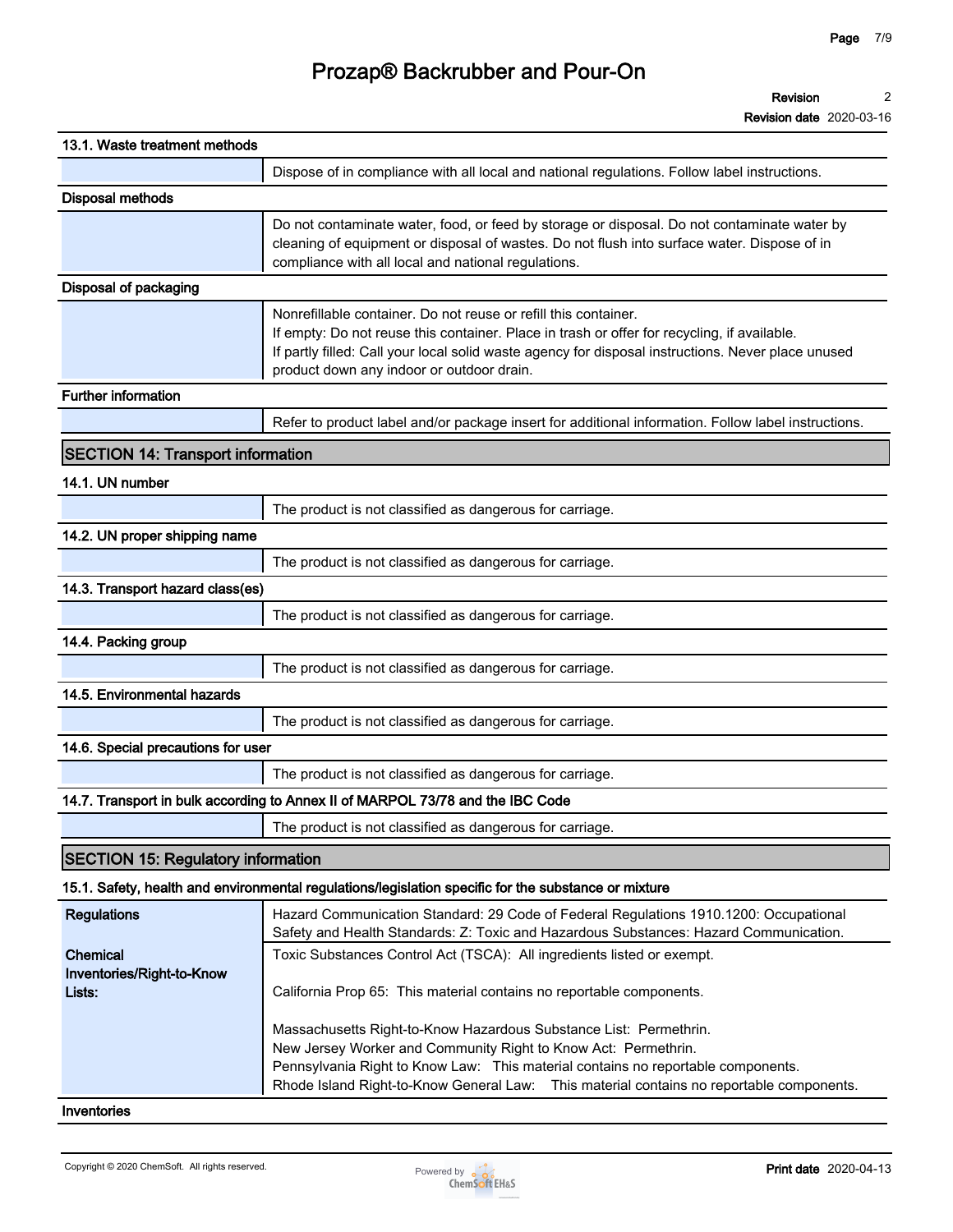**Revision 2**

**Revision date 2020-03-16**

| 13.1. Waste treatment methods                   |                                                                                                                                                                                                                                                                                                                     |
|-------------------------------------------------|---------------------------------------------------------------------------------------------------------------------------------------------------------------------------------------------------------------------------------------------------------------------------------------------------------------------|
|                                                 | Dispose of in compliance with all local and national regulations. Follow label instructions.                                                                                                                                                                                                                        |
| <b>Disposal methods</b>                         |                                                                                                                                                                                                                                                                                                                     |
|                                                 | Do not contaminate water, food, or feed by storage or disposal. Do not contaminate water by<br>cleaning of equipment or disposal of wastes. Do not flush into surface water. Dispose of in<br>compliance with all local and national regulations.                                                                   |
| Disposal of packaging                           |                                                                                                                                                                                                                                                                                                                     |
|                                                 | Nonrefillable container. Do not reuse or refill this container.<br>If empty: Do not reuse this container. Place in trash or offer for recycling, if available.<br>If partly filled: Call your local solid waste agency for disposal instructions. Never place unused<br>product down any indoor or outdoor drain.   |
| Further information                             |                                                                                                                                                                                                                                                                                                                     |
|                                                 | Refer to product label and/or package insert for additional information. Follow label instructions.                                                                                                                                                                                                                 |
| <b>SECTION 14: Transport information</b>        |                                                                                                                                                                                                                                                                                                                     |
| 14.1. UN number                                 |                                                                                                                                                                                                                                                                                                                     |
|                                                 | The product is not classified as dangerous for carriage.                                                                                                                                                                                                                                                            |
| 14.2. UN proper shipping name                   |                                                                                                                                                                                                                                                                                                                     |
|                                                 | The product is not classified as dangerous for carriage.                                                                                                                                                                                                                                                            |
| 14.3. Transport hazard class(es)                |                                                                                                                                                                                                                                                                                                                     |
|                                                 | The product is not classified as dangerous for carriage.                                                                                                                                                                                                                                                            |
| 14.4. Packing group                             |                                                                                                                                                                                                                                                                                                                     |
|                                                 | The product is not classified as dangerous for carriage.                                                                                                                                                                                                                                                            |
| 14.5. Environmental hazards                     |                                                                                                                                                                                                                                                                                                                     |
|                                                 | The product is not classified as dangerous for carriage.                                                                                                                                                                                                                                                            |
| 14.6. Special precautions for user              |                                                                                                                                                                                                                                                                                                                     |
|                                                 | The product is not classified as dangerous for carriage.                                                                                                                                                                                                                                                            |
|                                                 | 14.7. Transport in bulk according to Annex II of MARPOL 73/78 and the IBC Code                                                                                                                                                                                                                                      |
|                                                 | The product is not classified as dangerous for carriage.                                                                                                                                                                                                                                                            |
| <b>SECTION 15: Regulatory information</b>       |                                                                                                                                                                                                                                                                                                                     |
|                                                 | 15.1. Safety, health and environmental regulations/legislation specific for the substance or mixture                                                                                                                                                                                                                |
| <b>Regulations</b>                              | Hazard Communication Standard: 29 Code of Federal Regulations 1910.1200: Occupational<br>Safety and Health Standards: Z: Toxic and Hazardous Substances: Hazard Communication.                                                                                                                                      |
| Chemical<br>Inventories/Right-to-Know<br>Lists: | Toxic Substances Control Act (TSCA): All ingredients listed or exempt.<br>California Prop 65: This material contains no reportable components.                                                                                                                                                                      |
|                                                 | Massachusetts Right-to-Know Hazardous Substance List: Permethrin.<br>New Jersey Worker and Community Right to Know Act: Permethrin.<br>Pennsylvania Right to Know Law: This material contains no reportable components.<br>Rhode Island Right-to-Know General Law: This material contains no reportable components. |
| Inventories                                     |                                                                                                                                                                                                                                                                                                                     |

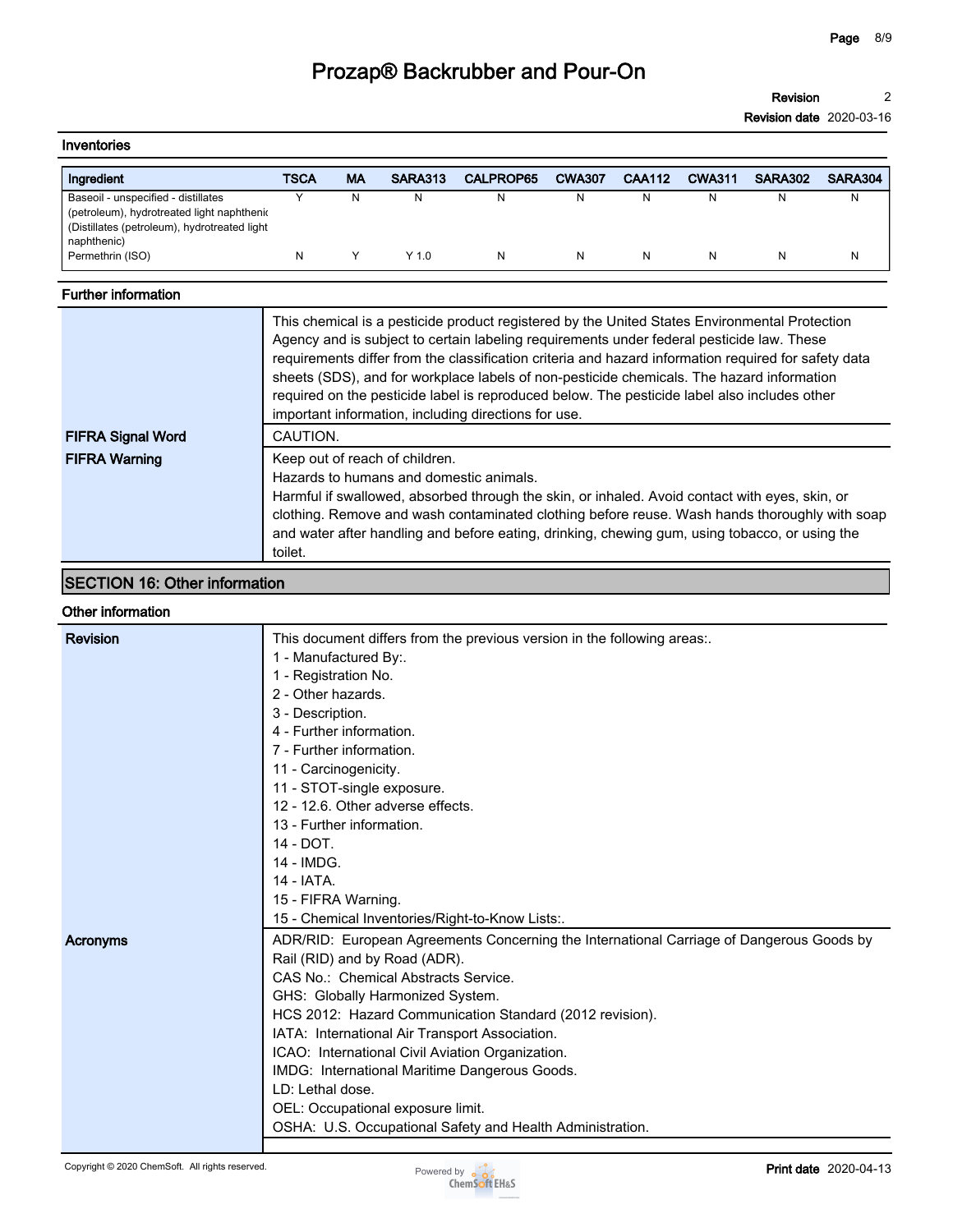**Revision 2**

**Revision date 2020-03-16**

| Inventories                                                                                                                                      |      |           |         |                  |               |               |               |                |         |
|--------------------------------------------------------------------------------------------------------------------------------------------------|------|-----------|---------|------------------|---------------|---------------|---------------|----------------|---------|
| Ingredient                                                                                                                                       | TSCA | <b>MA</b> | SARA313 | <b>CALPROP65</b> | <b>CWA307</b> | <b>CAA112</b> | <b>CWA311</b> | <b>SARA302</b> | SARA304 |
| Baseoil - unspecified - distillates<br>(petroleum), hydrotreated light naphthenic<br>(Distillates (petroleum), hydrotreated light<br>naphthenic) |      | N.        |         | N                | N             | N             | N             | N              | N       |
| Permethrin (ISO)                                                                                                                                 | N    |           | $Y$ 1.0 | N                | N             | N             | N             | N              | N       |

## **Further information**

| <b>FIFRA Signal Word</b> | This chemical is a pesticide product registered by the United States Environmental Protection<br>Agency and is subject to certain labeling requirements under federal pesticide law. These<br>requirements differ from the classification criteria and hazard information required for safety data<br>sheets (SDS), and for workplace labels of non-pesticide chemicals. The hazard information<br>required on the pesticide label is reproduced below. The pesticide label also includes other<br>important information, including directions for use.<br>CAUTION. |
|--------------------------|---------------------------------------------------------------------------------------------------------------------------------------------------------------------------------------------------------------------------------------------------------------------------------------------------------------------------------------------------------------------------------------------------------------------------------------------------------------------------------------------------------------------------------------------------------------------|
| <b>FIFRA Warning</b>     | Keep out of reach of children.<br>Hazards to humans and domestic animals.<br>Harmful if swallowed, absorbed through the skin, or inhaled. Avoid contact with eyes, skin, or<br>clothing. Remove and wash contaminated clothing before reuse. Wash hands thoroughly with soap<br>and water after handling and before eating, drinking, chewing gum, using tobacco, or using the<br>toilet.                                                                                                                                                                           |

## **SECTION 16: Other information**

### **Other information**

| Revision | This document differs from the previous version in the following areas.                  |  |  |  |  |  |
|----------|------------------------------------------------------------------------------------------|--|--|--|--|--|
|          | 1 - Manufactured By:.                                                                    |  |  |  |  |  |
|          | 1 - Registration No.                                                                     |  |  |  |  |  |
|          | 2 - Other hazards.                                                                       |  |  |  |  |  |
|          | 3 - Description.                                                                         |  |  |  |  |  |
|          | 4 - Further information.                                                                 |  |  |  |  |  |
|          | 7 - Further information.                                                                 |  |  |  |  |  |
|          | 11 - Carcinogenicity.                                                                    |  |  |  |  |  |
|          | 11 - STOT-single exposure.                                                               |  |  |  |  |  |
|          | 12 - 12.6. Other adverse effects.                                                        |  |  |  |  |  |
|          | 13 - Further information.                                                                |  |  |  |  |  |
|          | 14 - DOT.                                                                                |  |  |  |  |  |
|          | 14 - IMDG.                                                                               |  |  |  |  |  |
|          | 14 - IATA.                                                                               |  |  |  |  |  |
|          | 15 - FIFRA Warning.                                                                      |  |  |  |  |  |
|          | 15 - Chemical Inventories/Right-to-Know Lists:.                                          |  |  |  |  |  |
| Acronyms | ADR/RID: European Agreements Concerning the International Carriage of Dangerous Goods by |  |  |  |  |  |
|          | Rail (RID) and by Road (ADR).                                                            |  |  |  |  |  |
|          | CAS No.: Chemical Abstracts Service.                                                     |  |  |  |  |  |
|          | GHS: Globally Harmonized System.                                                         |  |  |  |  |  |
|          | HCS 2012: Hazard Communication Standard (2012 revision).                                 |  |  |  |  |  |
|          | IATA: International Air Transport Association.                                           |  |  |  |  |  |
|          | ICAO: International Civil Aviation Organization.                                         |  |  |  |  |  |
|          | IMDG: International Maritime Dangerous Goods.                                            |  |  |  |  |  |
|          | LD: Lethal dose.                                                                         |  |  |  |  |  |
|          | OEL: Occupational exposure limit.                                                        |  |  |  |  |  |
|          | OSHA: U.S. Occupational Safety and Health Administration.                                |  |  |  |  |  |
|          |                                                                                          |  |  |  |  |  |